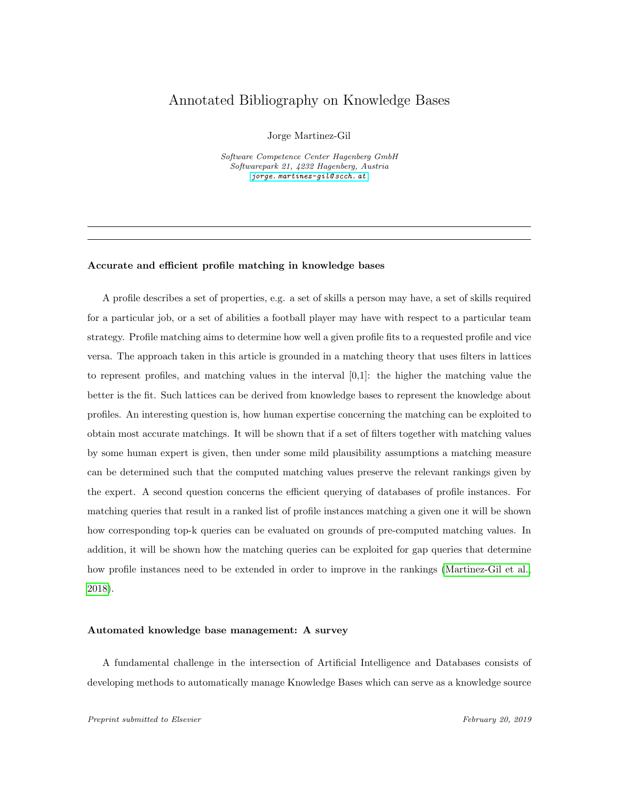# Annotated Bibliography on Knowledge Bases

Jorge Martinez-Gil

Software Competence Center Hagenberg GmbH Softwarepark 21, 4232 Hagenberg, Austria [jorge. martinez-gil@ scch. at](jorge.martinez-gil@scch.at)

## Accurate and efficient profile matching in knowledge bases

A profile describes a set of properties, e.g. a set of skills a person may have, a set of skills required for a particular job, or a set of abilities a football player may have with respect to a particular team strategy. Profile matching aims to determine how well a given profile fits to a requested profile and vice versa. The approach taken in this article is grounded in a matching theory that uses filters in lattices to represent profiles, and matching values in the interval [0,1]: the higher the matching value the better is the fit. Such lattices can be derived from knowledge bases to represent the knowledge about profiles. An interesting question is, how human expertise concerning the matching can be exploited to obtain most accurate matchings. It will be shown that if a set of filters together with matching values by some human expert is given, then under some mild plausibility assumptions a matching measure can be determined such that the computed matching values preserve the relevant rankings given by the expert. A second question concerns the efficient querying of databases of profile instances. For matching queries that result in a ranked list of profile instances matching a given one it will be shown how corresponding top-k queries can be evaluated on grounds of pre-computed matching values. In addition, it will be shown how the matching queries can be exploited for gap queries that determine how profile instances need to be extended in order to improve in the rankings [\(Martinez-Gil et al.,](#page-2-0) [2018\)](#page-2-0).

# Automated knowledge base management: A survey

A fundamental challenge in the intersection of Artificial Intelligence and Databases consists of developing methods to automatically manage Knowledge Bases which can serve as a knowledge source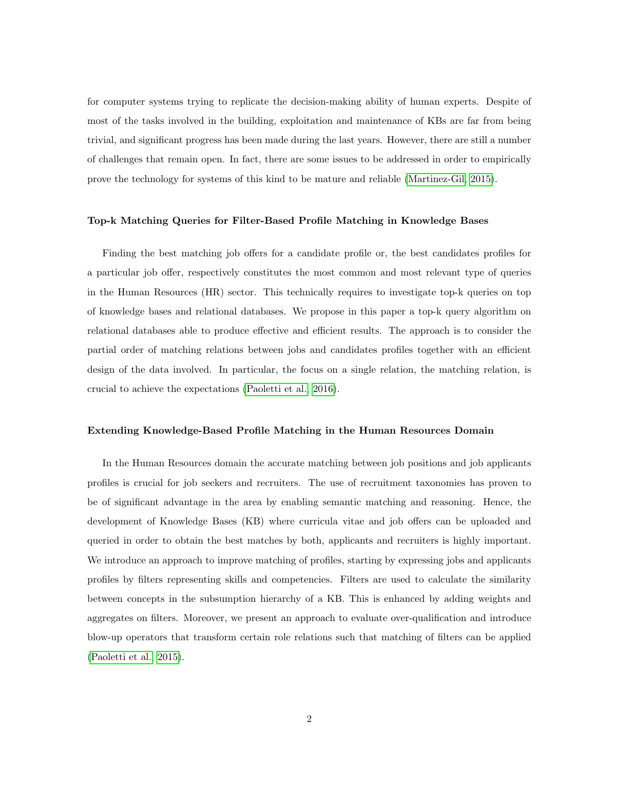for computer systems trying to replicate the decision-making ability of human experts. Despite of most of the tasks involved in the building, exploitation and maintenance of KBs are far from being trivial, and significant progress has been made during the last years. However, there are still a number of challenges that remain open. In fact, there are some issues to be addressed in order to empirically prove the technology for systems of this kind to be mature and reliable [\(Martinez-Gil, 2015\)](#page-2-1).

#### Top-k Matching Queries for Filter-Based Profile Matching in Knowledge Bases

Finding the best matching job offers for a candidate profile or, the best candidates profiles for a particular job offer, respectively constitutes the most common and most relevant type of queries in the Human Resources (HR) sector. This technically requires to investigate top-k queries on top of knowledge bases and relational databases. We propose in this paper a top-k query algorithm on relational databases able to produce effective and efficient results. The approach is to consider the partial order of matching relations between jobs and candidates profiles together with an efficient design of the data involved. In particular, the focus on a single relation, the matching relation, is crucial to achieve the expectations [\(Paoletti et al., 2016\)](#page-3-0).

# Extending Knowledge-Based Profile Matching in the Human Resources Domain

In the Human Resources domain the accurate matching between job positions and job applicants profiles is crucial for job seekers and recruiters. The use of recruitment taxonomies has proven to be of significant advantage in the area by enabling semantic matching and reasoning. Hence, the development of Knowledge Bases (KB) where curricula vitae and job offers can be uploaded and queried in order to obtain the best matches by both, applicants and recruiters is highly important. We introduce an approach to improve matching of profiles, starting by expressing jobs and applicants profiles by filters representing skills and competencies. Filters are used to calculate the similarity between concepts in the subsumption hierarchy of a KB. This is enhanced by adding weights and aggregates on filters. Moreover, we present an approach to evaluate over-qualification and introduce blow-up operators that transform certain role relations such that matching of filters can be applied [\(Paoletti et al., 2015\)](#page-2-2).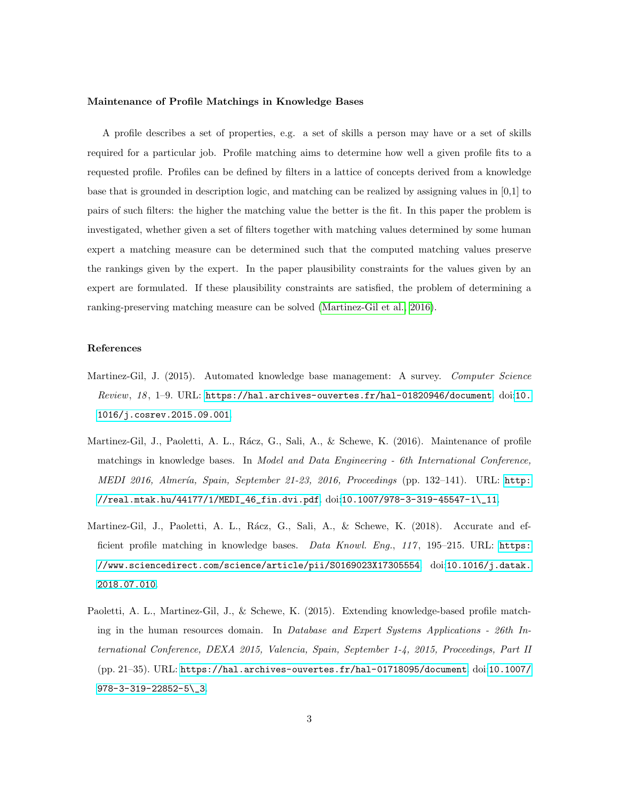## Maintenance of Profile Matchings in Knowledge Bases

A profile describes a set of properties, e.g. a set of skills a person may have or a set of skills required for a particular job. Profile matching aims to determine how well a given profile fits to a requested profile. Profiles can be defined by filters in a lattice of concepts derived from a knowledge base that is grounded in description logic, and matching can be realized by assigning values in [0,1] to pairs of such filters: the higher the matching value the better is the fit. In this paper the problem is investigated, whether given a set of filters together with matching values determined by some human expert a matching measure can be determined such that the computed matching values preserve the rankings given by the expert. In the paper plausibility constraints for the values given by an expert are formulated. If these plausibility constraints are satisfied, the problem of determining a ranking-preserving matching measure can be solved [\(Martinez-Gil et al., 2016\)](#page-2-3).

## References

- <span id="page-2-1"></span>Martinez-Gil, J. (2015). Automated knowledge base management: A survey. Computer Science Review, 18 , 1–9. URL: <https://hal.archives-ouvertes.fr/hal-01820946/document>. doi:[10.](http://dx.doi.org/10.1016/j.cosrev.2015.09.001) [1016/j.cosrev.2015.09.001](http://dx.doi.org/10.1016/j.cosrev.2015.09.001).
- <span id="page-2-3"></span>Martinez-Gil, J., Paoletti, A. L., Rácz, G., Sali, A., & Schewe, K. (2016). Maintenance of profile matchings in knowledge bases. In Model and Data Engineering - 6th International Conference, MEDI 2016, Almería, Spain, September 21-23, 2016, Proceedings (pp. 132-141). URL: [http:](http://real.mtak.hu/44177/1/MEDI_46_fin.dvi.pdf) [//real.mtak.hu/44177/1/MEDI\\_46\\_fin.dvi.pdf](http://real.mtak.hu/44177/1/MEDI_46_fin.dvi.pdf). doi:[10.1007/978-3-319-45547-1\\\_11](http://dx.doi.org/10.1007/978-3-319-45547-1_11).
- <span id="page-2-0"></span>Martinez-Gil, J., Paoletti, A. L., Rácz, G., Sali, A., & Schewe, K. (2018). Accurate and efficient profile matching in knowledge bases. Data Knowl. Eng.,  $117$ , 195-215. URL: [https:](https://www.sciencedirect.com/science/article/pii/S0169023X17305554) [//www.sciencedirect.com/science/article/pii/S0169023X17305554](https://www.sciencedirect.com/science/article/pii/S0169023X17305554). doi:[10.1016/j.datak.](http://dx.doi.org/10.1016/j.datak.2018.07.010) [2018.07.010](http://dx.doi.org/10.1016/j.datak.2018.07.010).
- <span id="page-2-2"></span>Paoletti, A. L., Martinez-Gil, J., & Schewe, K. (2015). Extending knowledge-based profile matching in the human resources domain. In Database and Expert Systems Applications - 26th International Conference, DEXA 2015, Valencia, Spain, September 1-4, 2015, Proceedings, Part II (pp. 21–35). URL: <https://hal.archives-ouvertes.fr/hal-01718095/document>. doi:[10.1007/](http://dx.doi.org/10.1007/978-3-319-22852-5_3) [978-3-319-22852-5\\\_3](http://dx.doi.org/10.1007/978-3-319-22852-5_3).